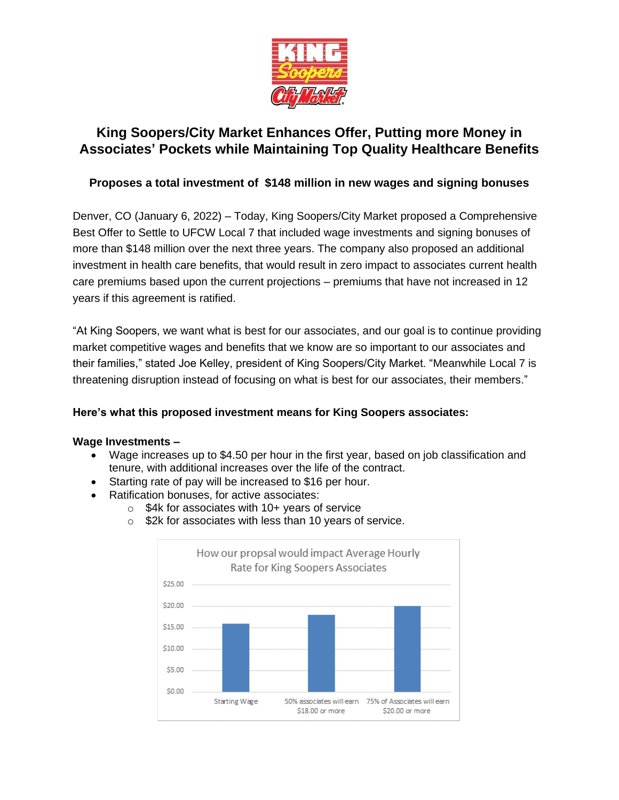

# **King Soopers/City Market Enhances Offer, Putting more Money in Associates' Pockets while Maintaining Top Quality Healthcare Benefits**

## **Proposes a total investment of \$148 million in new wages and signing bonuses**

Denver, CO (January 6, 2022) – Today, King Soopers/City Market proposed a Comprehensive Best Offer to Settle to UFCW Local 7 that included wage investments and signing bonuses of more than \$148 million over the next three years. The company also proposed an additional investment in health care benefits, that would result in zero impact to associates current health care premiums based upon the current projections – premiums that have not increased in 12 years if this agreement is ratified.

"At King Soopers, we want what is best for our associates, and our goal is to continue providing market competitive wages and benefits that we know are so important to our associates and their families," stated Joe Kelley, president of King Soopers/City Market. "Meanwhile Local 7 is threatening disruption instead of focusing on what is best for our associates, their members."

## **Here's what this proposed investment means for King Soopers associates:**

#### **Wage Investments –**

- Wage increases up to \$4.50 per hour in the first year, based on job classification and tenure, with additional increases over the life of the contract.
- Starting rate of pay will be increased to \$16 per hour.
- Ratification bonuses, for active associates:
	- $\circ$  \$4k for associates with 10+ years of service
	- o \$2k for associates with less than 10 years of service.

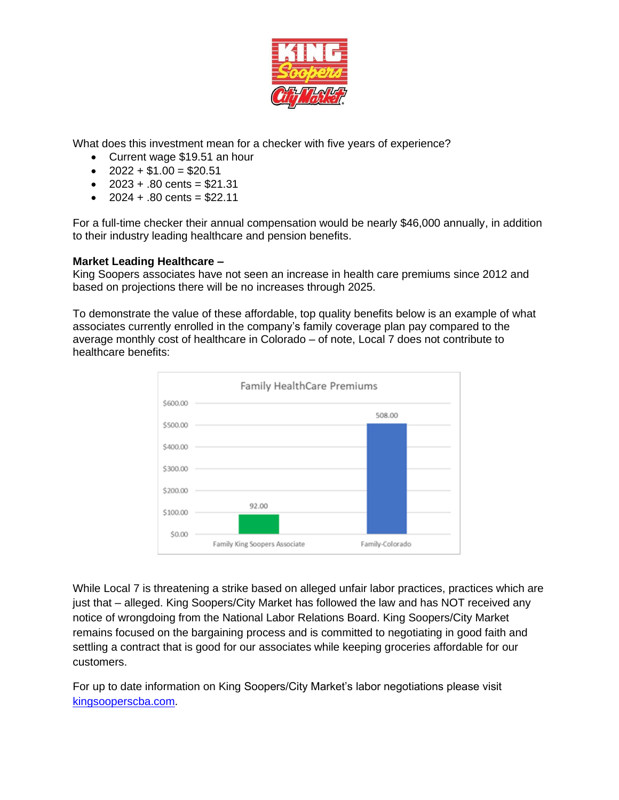

What does this investment mean for a checker with five years of experience?

- Current wage \$19.51 an hour
- $2022 + $1.00 = $20.51$
- $2023 + .80$  cents = \$21.31
- $2024 + .80$  cents = \$22.11

For a full-time checker their annual compensation would be nearly \$46,000 annually, in addition to their industry leading healthcare and pension benefits.

## **Market Leading Healthcare –**

King Soopers associates have not seen an increase in health care premiums since 2012 and based on projections there will be no increases through 2025.

To demonstrate the value of these affordable, top quality benefits below is an example of what associates currently enrolled in the company's family coverage plan pay compared to the average monthly cost of healthcare in Colorado – of note, Local 7 does not contribute to healthcare benefits:



While Local 7 is threatening a strike based on alleged unfair labor practices, practices which are just that – alleged. King Soopers/City Market has followed the law and has NOT received any notice of wrongdoing from the National Labor Relations Board. King Soopers/City Market remains focused on the bargaining process and is committed to negotiating in good faith and settling a contract that is good for our associates while keeping groceries affordable for our customers.

For up to date information on King Soopers/City Market's labor negotiations please visit [kingsooperscba.com.](https://www.kingsooperscba.com/)